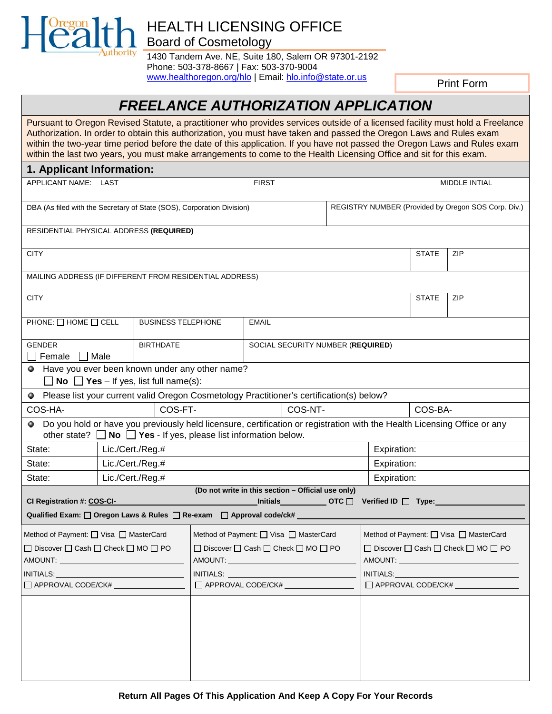

## HEALTH LICENSING OFFICE Board of Cosmetology

1430 Tandem Ave. NE, Suite 180, Salem OR 97301-2192 Phone: 503-378-8667 | Fax: 503-370-9004 [www.healthoregon.org/hlo](http://www.healthoregon.org/hlo) | Email[: hlo.info@state.or.us](mailto:hlo.info@state.or.us)

Print Form

# *FREELANCE AUTHORIZATION APPLICATION*

Pursuant to Oregon Revised Statute, a practitioner who provides services outside of a licensed facility must hold a Freelance Authorization. In order to obtain this authorization, you must have taken and passed the Oregon Laws and Rules exam within the two-year time period before the date of this application. If you have not passed the Oregon Laws and Rules exam within the last two years, you must make arrangements to come to the Health Licensing Office and sit for this exam.

| 1. Applicant Information:                                                                                                                    |                  |  |                           |                                                        |                                   |                                                   |                                                       |                                                     |              |               |  |
|----------------------------------------------------------------------------------------------------------------------------------------------|------------------|--|---------------------------|--------------------------------------------------------|-----------------------------------|---------------------------------------------------|-------------------------------------------------------|-----------------------------------------------------|--------------|---------------|--|
| APPLICANT NAME: LAST                                                                                                                         |                  |  |                           |                                                        | <b>FIRST</b>                      |                                                   |                                                       |                                                     |              | MIDDLE INTIAL |  |
| DBA (As filed with the Secretary of State (SOS), Corporation Division)                                                                       |                  |  |                           |                                                        |                                   |                                                   |                                                       | REGISTRY NUMBER (Provided by Oregon SOS Corp. Div.) |              |               |  |
| RESIDENTIAL PHYSICAL ADDRESS (REQUIRED)                                                                                                      |                  |  |                           |                                                        |                                   |                                                   |                                                       |                                                     |              |               |  |
| <b>CITY</b>                                                                                                                                  |                  |  |                           |                                                        |                                   |                                                   |                                                       |                                                     | <b>STATE</b> | ZIP           |  |
| MAILING ADDRESS (IF DIFFERENT FROM RESIDENTIAL ADDRESS)                                                                                      |                  |  |                           |                                                        |                                   |                                                   |                                                       |                                                     |              |               |  |
| <b>CITY</b>                                                                                                                                  |                  |  |                           |                                                        |                                   |                                                   |                                                       |                                                     | <b>STATE</b> | ZIP           |  |
| PHONE: $\Box$ HOME $\Box$ CELL                                                                                                               |                  |  | <b>BUSINESS TELEPHONE</b> |                                                        | <b>EMAIL</b>                      |                                                   |                                                       |                                                     |              |               |  |
| <b>GENDER</b><br>Female                                                                                                                      | Male             |  | <b>BIRTHDATE</b>          |                                                        | SOCIAL SECURITY NUMBER (REQUIRED) |                                                   |                                                       |                                                     |              |               |  |
| Have you ever been known under any other name?<br>۰<br>$\Box$ No $\Box$ Yes – If yes, list full name(s):                                     |                  |  |                           |                                                        |                                   |                                                   |                                                       |                                                     |              |               |  |
| • Please list your current valid Oregon Cosmetology Practitioner's certification(s) below?                                                   |                  |  |                           |                                                        |                                   |                                                   |                                                       |                                                     |              |               |  |
| COS-HA-                                                                                                                                      |                  |  | COS-FT-                   | COS-NT-                                                |                                   |                                                   |                                                       | COS-BA-                                             |              |               |  |
| • Do you hold or have you previously held licensure, certification or registration with the Health Licensing Office or any<br>other state? [ |                  |  |                           | No $\Box$ Yes - If yes, please list information below. |                                   |                                                   |                                                       |                                                     |              |               |  |
| State:                                                                                                                                       | Lic./Cert./Reg.# |  |                           |                                                        |                                   |                                                   | Expiration:                                           |                                                     |              |               |  |
| State:                                                                                                                                       | Lic./Cert./Reg.# |  |                           |                                                        |                                   |                                                   | Expiration:                                           |                                                     |              |               |  |
| State:                                                                                                                                       | Lic./Cert./Reg.# |  |                           |                                                        |                                   |                                                   | Expiration:                                           |                                                     |              |               |  |
|                                                                                                                                              |                  |  |                           | (Do not write in this section - Official use only)     |                                   |                                                   |                                                       |                                                     |              |               |  |
| CI Registration #: COS-CI-<br>Qualified Exam: Oregon Laws & Rules ORe-exam OApproval code/ck# ___                                            |                  |  |                           |                                                        |                                   | <b>Initials</b> $\qquad \qquad \qquad$ OTC $\Box$ |                                                       | Verified ID $\Box$ Type:                            |              |               |  |
|                                                                                                                                              |                  |  |                           |                                                        |                                   |                                                   |                                                       |                                                     |              |               |  |
| Method of Payment: U Visa U MasterCard                                                                                                       |                  |  |                           | Method of Payment: □ Visa □ MasterCard                 |                                   |                                                   |                                                       | Method of Payment: □ Visa □ MasterCard              |              |               |  |
| □ Discover □ Cash □ Check □ MO □ PO<br>AMOUNT: AMOUNT                                                                                        |                  |  |                           | □ Discover □ Cash □ Check □ MO □ PO<br>AMOUNT:         |                                   |                                                   | □ Discover □ Cash □ Check □ MO □ PO<br>AMOUNT: AMOUNT |                                                     |              |               |  |
| INITIALS:                                                                                                                                    |                  |  |                           |                                                        |                                   |                                                   | INITIALS:                                             |                                                     |              |               |  |
| APPROVAL CODE/CK#                                                                                                                            |                  |  |                           | APPROVAL CODE/CK#                                      |                                   |                                                   | APPROVAL CODE/CK#                                     |                                                     |              |               |  |
|                                                                                                                                              |                  |  |                           |                                                        |                                   |                                                   |                                                       |                                                     |              |               |  |
|                                                                                                                                              |                  |  |                           |                                                        |                                   |                                                   |                                                       |                                                     |              |               |  |
|                                                                                                                                              |                  |  |                           |                                                        |                                   |                                                   |                                                       |                                                     |              |               |  |
|                                                                                                                                              |                  |  |                           |                                                        |                                   |                                                   |                                                       |                                                     |              |               |  |
|                                                                                                                                              |                  |  |                           |                                                        |                                   |                                                   |                                                       |                                                     |              |               |  |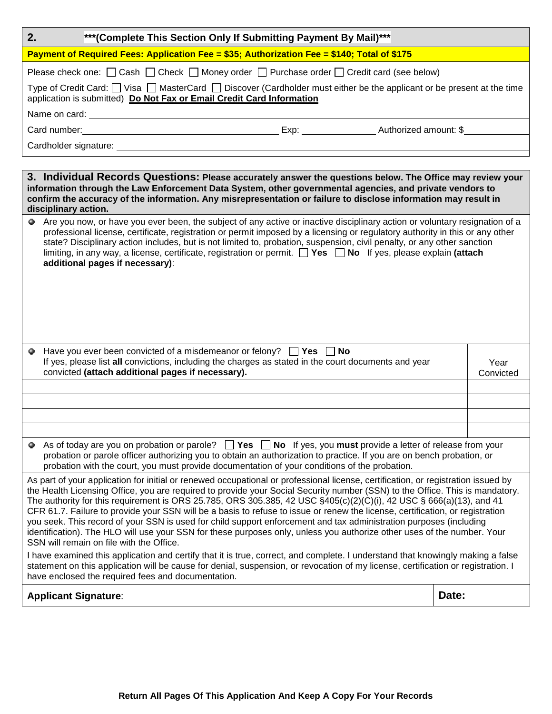| 2.<br>*** (Complete This Section Only If Submitting Payment By Mail)***                                                                                                                                                                                                                                                                                                                                                                                                                                                                                                                                                                                                                                                                                                                                                                                                                                                                                                                                                                                                                                                                                      |                   |  |  |  |  |  |  |
|--------------------------------------------------------------------------------------------------------------------------------------------------------------------------------------------------------------------------------------------------------------------------------------------------------------------------------------------------------------------------------------------------------------------------------------------------------------------------------------------------------------------------------------------------------------------------------------------------------------------------------------------------------------------------------------------------------------------------------------------------------------------------------------------------------------------------------------------------------------------------------------------------------------------------------------------------------------------------------------------------------------------------------------------------------------------------------------------------------------------------------------------------------------|-------------------|--|--|--|--|--|--|
| Payment of Required Fees: Application Fee = \$35; Authorization Fee = \$140; Total of \$175                                                                                                                                                                                                                                                                                                                                                                                                                                                                                                                                                                                                                                                                                                                                                                                                                                                                                                                                                                                                                                                                  |                   |  |  |  |  |  |  |
| Please check one: $\Box$ Cash $\Box$ Check $\Box$ Money order $\Box$ Purchase order $\Box$ Credit card (see below)                                                                                                                                                                                                                                                                                                                                                                                                                                                                                                                                                                                                                                                                                                                                                                                                                                                                                                                                                                                                                                           |                   |  |  |  |  |  |  |
| Type of Credit Card: $\Box$ Visa $\Box$ MasterCard $\Box$ Discover (Cardholder must either be the applicant or be present at the time<br>application is submitted) Do Not Fax or Email Credit Card Information                                                                                                                                                                                                                                                                                                                                                                                                                                                                                                                                                                                                                                                                                                                                                                                                                                                                                                                                               |                   |  |  |  |  |  |  |
|                                                                                                                                                                                                                                                                                                                                                                                                                                                                                                                                                                                                                                                                                                                                                                                                                                                                                                                                                                                                                                                                                                                                                              |                   |  |  |  |  |  |  |
| Card number: <u>Card number:</u> Card number: Solution Card number: Solution Card number: Solution Card number: Solution Card number 3 and 2012 and 2013                                                                                                                                                                                                                                                                                                                                                                                                                                                                                                                                                                                                                                                                                                                                                                                                                                                                                                                                                                                                     |                   |  |  |  |  |  |  |
|                                                                                                                                                                                                                                                                                                                                                                                                                                                                                                                                                                                                                                                                                                                                                                                                                                                                                                                                                                                                                                                                                                                                                              |                   |  |  |  |  |  |  |
|                                                                                                                                                                                                                                                                                                                                                                                                                                                                                                                                                                                                                                                                                                                                                                                                                                                                                                                                                                                                                                                                                                                                                              |                   |  |  |  |  |  |  |
| 3. Individual Records Questions: Please accurately answer the questions below. The Office may review your<br>information through the Law Enforcement Data System, other governmental agencies, and private vendors to<br>confirm the accuracy of the information. Any misrepresentation or failure to disclose information may result in<br>disciplinary action.                                                                                                                                                                                                                                                                                                                                                                                                                                                                                                                                                                                                                                                                                                                                                                                             |                   |  |  |  |  |  |  |
| Are you now, or have you ever been, the subject of any active or inactive disciplinary action or voluntary resignation of a<br>professional license, certificate, registration or permit imposed by a licensing or regulatory authority in this or any other<br>state? Disciplinary action includes, but is not limited to, probation, suspension, civil penalty, or any other sanction<br>limiting, in any way, a license, certificate, registration or permit. $\Box$ Yes $\Box$ No If yes, please explain (attach<br>additional pages if necessary):                                                                                                                                                                                                                                                                                                                                                                                                                                                                                                                                                                                                      |                   |  |  |  |  |  |  |
| Have you ever been convicted of a misdemeanor or felony? $\Box$ Yes $\Box$ No<br>Ф<br>If yes, please list all convictions, including the charges as stated in the court documents and year<br>convicted (attach additional pages if necessary).                                                                                                                                                                                                                                                                                                                                                                                                                                                                                                                                                                                                                                                                                                                                                                                                                                                                                                              | Year<br>Convicted |  |  |  |  |  |  |
|                                                                                                                                                                                                                                                                                                                                                                                                                                                                                                                                                                                                                                                                                                                                                                                                                                                                                                                                                                                                                                                                                                                                                              |                   |  |  |  |  |  |  |
|                                                                                                                                                                                                                                                                                                                                                                                                                                                                                                                                                                                                                                                                                                                                                                                                                                                                                                                                                                                                                                                                                                                                                              |                   |  |  |  |  |  |  |
| As of today are you on probation or parole? $\Box$ Yes $\Box$ No If yes, you must provide a letter of release from your<br>probation or parole officer authorizing you to obtain an authorization to practice. If you are on bench probation, or<br>probation with the court, you must provide documentation of your conditions of the probation.                                                                                                                                                                                                                                                                                                                                                                                                                                                                                                                                                                                                                                                                                                                                                                                                            |                   |  |  |  |  |  |  |
| As part of your application for initial or renewed occupational or professional license, certification, or registration issued by<br>the Health Licensing Office, you are required to provide your Social Security number (SSN) to the Office. This is mandatory.<br>The authority for this requirement is ORS 25.785, ORS 305.385, 42 USC $\S405(c)(2)(c)(i)$ , 42 USC $\S 666(a)(13)$ , and 41<br>CFR 61.7. Failure to provide your SSN will be a basis to refuse to issue or renew the license, certification, or registration<br>you seek. This record of your SSN is used for child support enforcement and tax administration purposes (including<br>identification). The HLO will use your SSN for these purposes only, unless you authorize other uses of the number. Your<br>SSN will remain on file with the Office.<br>I have examined this application and certify that it is true, correct, and complete. I understand that knowingly making a false<br>statement on this application will be cause for denial, suspension, or revocation of my license, certification or registration. I<br>have enclosed the required fees and documentation. |                   |  |  |  |  |  |  |
| <b>Applicant Signature:</b>                                                                                                                                                                                                                                                                                                                                                                                                                                                                                                                                                                                                                                                                                                                                                                                                                                                                                                                                                                                                                                                                                                                                  | Date:             |  |  |  |  |  |  |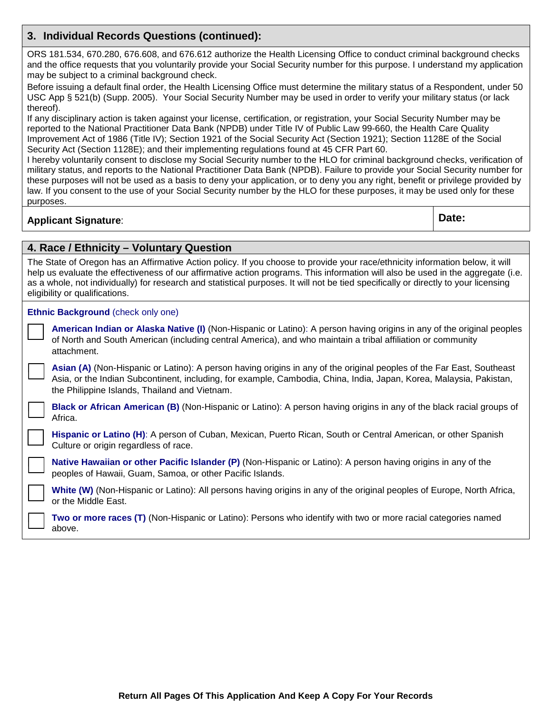#### **3. Individual Records Questions (continued):**

ORS 181.534, 670.280, 676.608, and 676.612 authorize the Health Licensing Office to conduct criminal background checks and the office requests that you voluntarily provide your Social Security number for this purpose. I understand my application may be subject to a criminal background check.

Before issuing a default final order, the Health Licensing Office must determine the military status of a Respondent, under 50 USC App § 521(b) (Supp. 2005). Your Social Security Number may be used in order to verify your military status (or lack thereof).

If any disciplinary action is taken against your license, certification, or registration, your Social Security Number may be reported to the National Practitioner Data Bank (NPDB) under Title IV of Public Law 99-660, the Health Care Quality Improvement Act of 1986 (Title IV); Section 1921 of the Social Security Act (Section 1921); Section 1128E of the Social Security Act (Section 1128E); and their implementing regulations found at 45 CFR Part 60.

I hereby voluntarily consent to disclose my Social Security number to the HLO for criminal background checks, verification of military status, and reports to the National Practitioner Data Bank (NPDB). Failure to provide your Social Security number for these purposes will not be used as a basis to deny your application, or to deny you any right, benefit or privilege provided by law. If you consent to the use of your Social Security number by the HLO for these purposes, it may be used only for these purposes.

## **Applicant Signature**: **Date:**

#### **4. Race / Ethnicity – Voluntary Question**

| The State of Oregon has an Affirmative Action policy. If you choose to provide your race/ethnicity information below, it will<br>help us evaluate the effectiveness of our affirmative action programs. This information will also be used in the aggregate (i.e.<br>as a whole, not individually) for research and statistical purposes. It will not be tied specifically or directly to your licensing<br>eligibility or qualifications. |                                                                                                                                                                                                                                                                                               |  |  |  |  |
|--------------------------------------------------------------------------------------------------------------------------------------------------------------------------------------------------------------------------------------------------------------------------------------------------------------------------------------------------------------------------------------------------------------------------------------------|-----------------------------------------------------------------------------------------------------------------------------------------------------------------------------------------------------------------------------------------------------------------------------------------------|--|--|--|--|
|                                                                                                                                                                                                                                                                                                                                                                                                                                            | <b>Ethnic Background (check only one)</b>                                                                                                                                                                                                                                                     |  |  |  |  |
|                                                                                                                                                                                                                                                                                                                                                                                                                                            | American Indian or Alaska Native (I) (Non-Hispanic or Latino): A person having origins in any of the original peoples<br>of North and South American (including central America), and who maintain a tribal affiliation or community<br>attachment.                                           |  |  |  |  |
|                                                                                                                                                                                                                                                                                                                                                                                                                                            | Asian (A) (Non-Hispanic or Latino): A person having origins in any of the original peoples of the Far East, Southeast<br>Asia, or the Indian Subcontinent, including, for example, Cambodia, China, India, Japan, Korea, Malaysia, Pakistan,<br>the Philippine Islands, Thailand and Vietnam. |  |  |  |  |
|                                                                                                                                                                                                                                                                                                                                                                                                                                            | <b>Black or African American (B)</b> (Non-Hispanic or Latino): A person having origins in any of the black racial groups of<br>Africa.                                                                                                                                                        |  |  |  |  |
|                                                                                                                                                                                                                                                                                                                                                                                                                                            | Hispanic or Latino (H): A person of Cuban, Mexican, Puerto Rican, South or Central American, or other Spanish<br>Culture or origin regardless of race.                                                                                                                                        |  |  |  |  |
|                                                                                                                                                                                                                                                                                                                                                                                                                                            | Native Hawaiian or other Pacific Islander (P) (Non-Hispanic or Latino): A person having origins in any of the<br>peoples of Hawaii, Guam, Samoa, or other Pacific Islands.                                                                                                                    |  |  |  |  |
|                                                                                                                                                                                                                                                                                                                                                                                                                                            | White (W) (Non-Hispanic or Latino): All persons having origins in any of the original peoples of Europe, North Africa,<br>or the Middle East.                                                                                                                                                 |  |  |  |  |
|                                                                                                                                                                                                                                                                                                                                                                                                                                            | Two or more races (T) (Non-Hispanic or Latino): Persons who identify with two or more racial categories named<br>above.                                                                                                                                                                       |  |  |  |  |